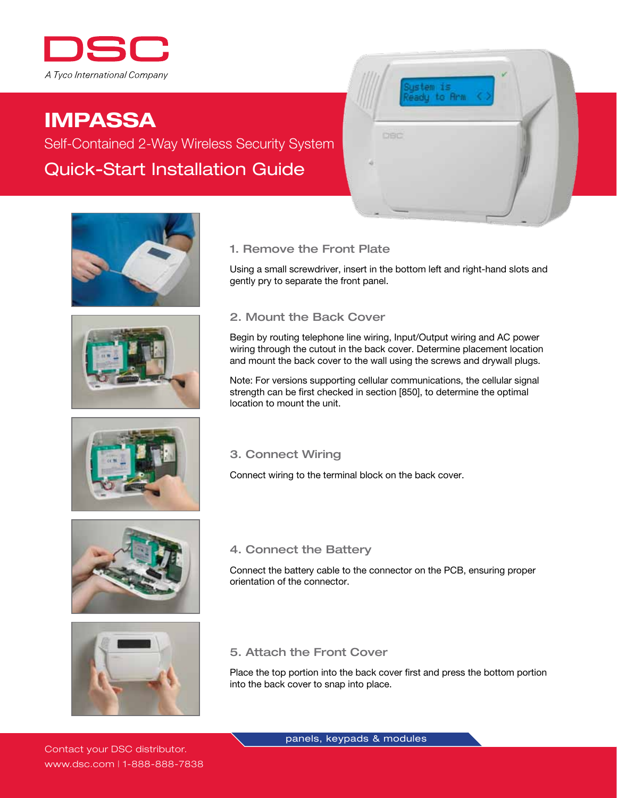

# IMPASSA

Self-Contained 2-Way Wireless Security System Quick-Start Installation Guide









Using a small screwdriver, insert in the bottom left and right-hand slots and gently pry to separate the front panel.

istem is adu to Arm

## 2. Mount the Back Cover

Begin by routing telephone line wiring, Input/Output wiring and AC power wiring through the cutout in the back cover. Determine placement location and mount the back cover to the wall using the screws and drywall plugs.

Note: For versions supporting cellular communications, the cellular signal strength can be first checked in section [850], to determine the optimal location to mount the unit.

## 3. Connect Wiring

Connect wiring to the terminal block on the back cover.





#### 4. Connect the Battery

Connect the battery cable to the connector on the PCB, ensuring proper orientation of the connector.

## 5. Attach the Front Cover

Place the top portion into the back cover first and press the bottom portion into the back cover to snap into place.

panels, keypads & modules

Contact your DSC distributor. www.dsc.com | 1-888-888-7838